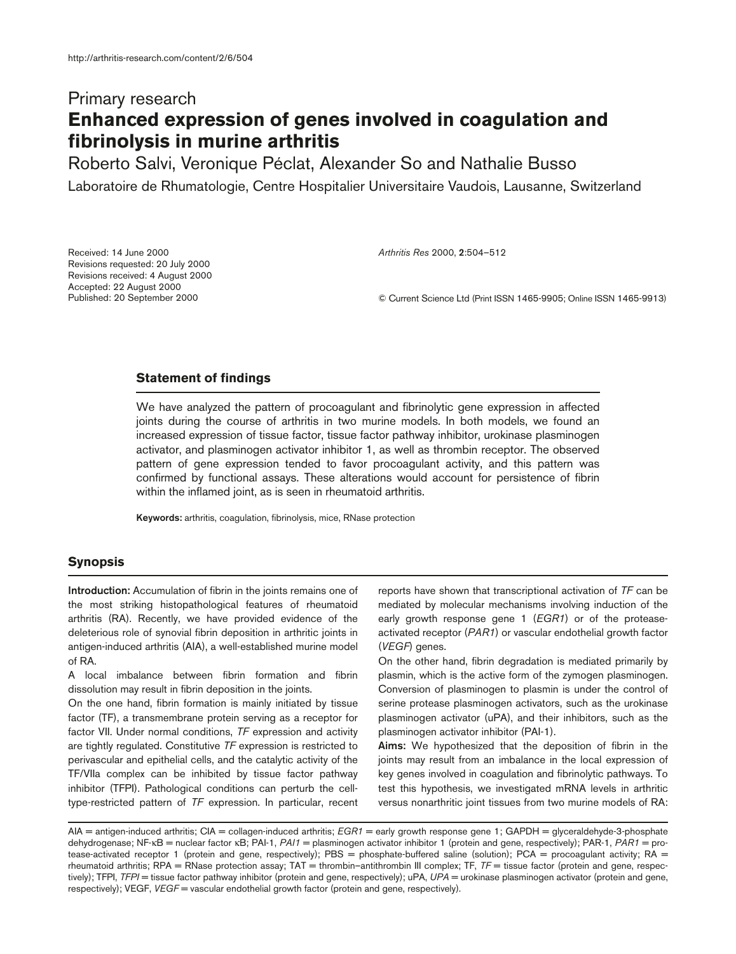# Primary research **Enhanced expression of genes involved in coagulation and fibrinolysis in murine arthritis**

Roberto Salvi, Veronique Péclat, Alexander So and Nathalie Busso Laboratoire de Rhumatologie, Centre Hospitalier Universitaire Vaudois, Lausanne, Switzerland

Received: 14 June 2000 Revisions requested: 20 July 2000 Revisions received: 4 August 2000 Accepted: 22 August 2000 Published: 20 September 2000

*Arthritis Res* 2000, **2**:504–512

© Current Science Ltd (Print ISSN 1465-9905; Online ISSN 1465-9913)

# **Statement of findings**

We have analyzed the pattern of procoagulant and fibrinolytic gene expression in affected joints during the course of arthritis in two murine models. In both models, we found an increased expression of tissue factor, tissue factor pathway inhibitor, urokinase plasminogen activator, and plasminogen activator inhibitor 1, as well as thrombin receptor. The observed pattern of gene expression tended to favor procoagulant activity, and this pattern was confirmed by functional assays. These alterations would account for persistence of fibrin within the inflamed joint, as is seen in rheumatoid arthritis.

**Keywords:** arthritis, coagulation, fibrinolysis, mice, RNase protection

# **Synopsis**

**Introduction:** Accumulation of fibrin in the joints remains one of the most striking histopathological features of rheumatoid arthritis (RA). Recently, we have provided evidence of the deleterious role of synovial fibrin deposition in arthritic joints in antigen-induced arthritis (AIA), a well-established murine model of RA.

A local imbalance between fibrin formation and fibrin dissolution may result in fibrin deposition in the joints.

On the one hand, fibrin formation is mainly initiated by tissue factor (TF), a transmembrane protein serving as a receptor for factor VII. Under normal conditions, *TF* expression and activity are tightly regulated. Constitutive *TF* expression is restricted to perivascular and epithelial cells, and the catalytic activity of the TF/VIIa complex can be inhibited by tissue factor pathway inhibitor (TFPI). Pathological conditions can perturb the celltype-restricted pattern of *TF* expression. In particular, recent reports have shown that transcriptional activation of *TF* can be mediated by molecular mechanisms involving induction of the early growth response gene 1 (*EGR1*) or of the proteaseactivated receptor (*PAR1*) or vascular endothelial growth factor (*VEGF*) genes.

On the other hand, fibrin degradation is mediated primarily by plasmin, which is the active form of the zymogen plasminogen. Conversion of plasminogen to plasmin is under the control of serine protease plasminogen activators, such as the urokinase plasminogen activator (uPA), and their inhibitors, such as the plasminogen activator inhibitor (PAI-1).

**Aims:** We hypothesized that the deposition of fibrin in the joints may result from an imbalance in the local expression of key genes involved in coagulation and fibrinolytic pathways. To test this hypothesis, we investigated mRNA levels in arthritic versus nonarthritic joint tissues from two murine models of RA:

AIA = antigen-induced arthritis; CIA = collagen-induced arthritis; *EGR1* = early growth response gene 1; GAPDH = glyceraldehyde-3-phosphate dehydrogenase; NF-κB = nuclear factor κB; PAI-1, *PAI1* = plasminogen activator inhibitor 1 (protein and gene, respectively); PAR-1, *PAR1* = protease-activated receptor 1 (protein and gene, respectively); PBS = phosphate-buffered saline (solution); PCA = procoagulant activity; RA = rheumatoid arthritis; RPA = RNase protection assay; TAT = thrombin–antithrombin III complex; TF, *TF* = tissue factor (protein and gene, respectively); TFPI, TFPI = tissue factor pathway inhibitor (protein and gene, respectively); uPA, UPA = urokinase plasminogen activator (protein and gene, respectively); VEGF, *VEGF* = vascular endothelial growth factor (protein and gene, respectively).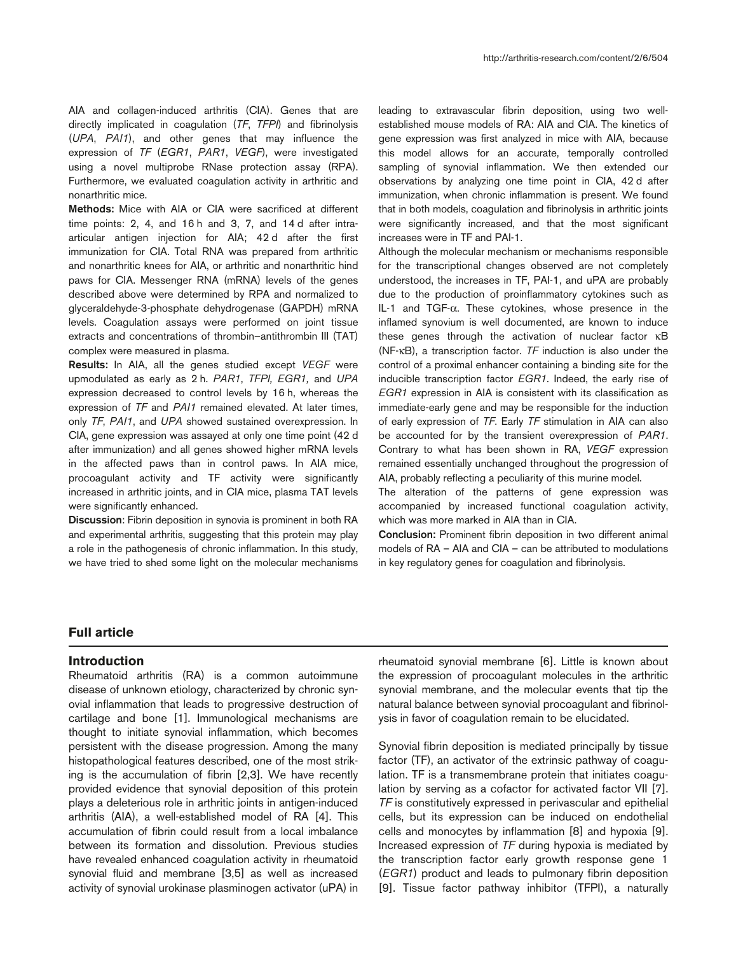AIA and collagen-induced arthritis (CIA). Genes that are directly implicated in coagulation (*TF*, *TFPI*) and fibrinolysis (*UPA*, *PAI1*), and other genes that may influence the expression of *TF* (*EGR1*, *PAR1*, *VEGF*), were investigated using a novel multiprobe RNase protection assay (RPA). Furthermore, we evaluated coagulation activity in arthritic and nonarthritic mice.

**Methods:** Mice with AIA or CIA were sacrificed at different time points: 2, 4, and 16 h and 3, 7, and 14 d after intraarticular antigen injection for AIA; 42 d after the first immunization for CIA. Total RNA was prepared from arthritic and nonarthritic knees for AIA, or arthritic and nonarthritic hind paws for CIA. Messenger RNA (mRNA) levels of the genes described above were determined by RPA and normalized to glyceraldehyde-3-phosphate dehydrogenase (GAPDH) mRNA levels. Coagulation assays were performed on joint tissue extracts and concentrations of thrombin–antithrombin III (TAT) complex were measured in plasma.

**Results:** In AIA, all the genes studied except *VEGF* were upmodulated as early as 2 h. *PAR1*, *TFPI, EGR1,* and *UPA* expression decreased to control levels by 16 h, whereas the expression of *TF* and *PAI1* remained elevated. At later times, only *TF*, *PAI1*, and *UPA* showed sustained overexpression. In CIA, gene expression was assayed at only one time point (42 d after immunization) and all genes showed higher mRNA levels in the affected paws than in control paws. In AIA mice, procoagulant activity and TF activity were significantly increased in arthritic joints, and in CIA mice, plasma TAT levels were significantly enhanced.

**Discussion**: Fibrin deposition in synovia is prominent in both RA and experimental arthritis, suggesting that this protein may play a role in the pathogenesis of chronic inflammation. In this study, we have tried to shed some light on the molecular mechanisms leading to extravascular fibrin deposition, using two wellestablished mouse models of RA: AIA and CIA. The kinetics of gene expression was first analyzed in mice with AIA, because this model allows for an accurate, temporally controlled sampling of synovial inflammation. We then extended our observations by analyzing one time point in CIA, 42 d after immunization, when chronic inflammation is present. We found that in both models, coagulation and fibrinolysis in arthritic joints were significantly increased, and that the most significant increases were in TF and PAI-1.

Although the molecular mechanism or mechanisms responsible for the transcriptional changes observed are not completely understood, the increases in TF, PAI-1, and uPA are probably due to the production of proinflammatory cytokines such as IL-1 and TGF-α. These cytokines, whose presence in the inflamed synovium is well documented, are known to induce these genes through the activation of nuclear factor κB (NF-κB), a transcription factor. *TF* induction is also under the control of a proximal enhancer containing a binding site for the inducible transcription factor *EGR1*. Indeed, the early rise of *EGR1* expression in AIA is consistent with its classification as immediate-early gene and may be responsible for the induction of early expression of *TF*. Early *TF* stimulation in AIA can also be accounted for by the transient overexpression of *PAR1*. Contrary to what has been shown in RA, *VEGF* expression remained essentially unchanged throughout the progression of AIA, probably reflecting a peculiarity of this murine model.

The alteration of the patterns of gene expression was accompanied by increased functional coagulation activity, which was more marked in AIA than in CIA.

**Conclusion:** Prominent fibrin deposition in two different animal models of RA – AIA and CIA – can be attributed to modulations in key regulatory genes for coagulation and fibrinolysis.

# **Full article**

## **Introduction**

Rheumatoid arthritis (RA) is a common autoimmune disease of unknown etiology, characterized by chronic synovial inflammation that leads to progressive destruction of cartilage and bone [1]. Immunological mechanisms are thought to initiate synovial inflammation, which becomes persistent with the disease progression. Among the many histopathological features described, one of the most striking is the accumulation of fibrin [2,3]. We have recently provided evidence that synovial deposition of this protein plays a deleterious role in arthritic joints in antigen-induced arthritis (AIA), a well-established model of RA [4]. This accumulation of fibrin could result from a local imbalance between its formation and dissolution. Previous studies have revealed enhanced coagulation activity in rheumatoid synovial fluid and membrane [3,5] as well as increased activity of synovial urokinase plasminogen activator (uPA) in

rheumatoid synovial membrane [6]. Little is known about the expression of procoagulant molecules in the arthritic synovial membrane, and the molecular events that tip the natural balance between synovial procoagulant and fibrinolysis in favor of coagulation remain to be elucidated.

Synovial fibrin deposition is mediated principally by tissue factor (TF), an activator of the extrinsic pathway of coagulation. TF is a transmembrane protein that initiates coagulation by serving as a cofactor for activated factor VII [7]. *TF* is constitutively expressed in perivascular and epithelial cells, but its expression can be induced on endothelial cells and monocytes by inflammation [8] and hypoxia [9]. Increased expression of *TF* during hypoxia is mediated by the transcription factor early growth response gene 1 (*EGR1*) product and leads to pulmonary fibrin deposition [9]. Tissue factor pathway inhibitor (TFPI), a naturally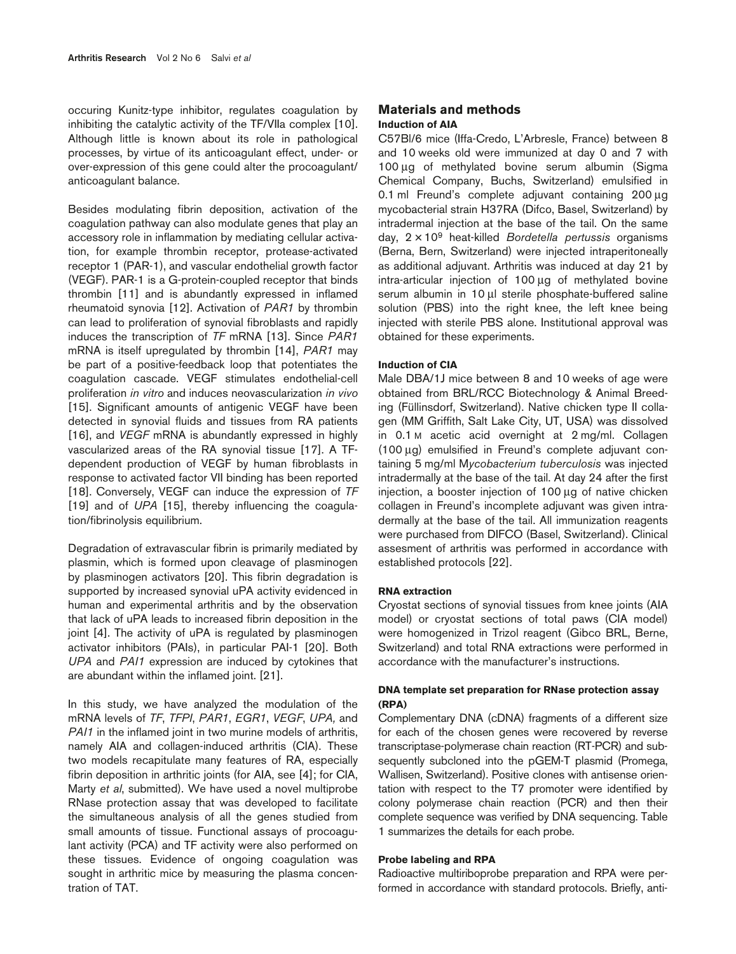occuring Kunitz-type inhibitor, regulates coagulation by inhibiting the catalytic activity of the TF/VIIa complex [10]. Although little is known about its role in pathological processes, by virtue of its anticoagulant effect, under- or over-expression of this gene could alter the procoagulant/ anticoagulant balance.

Besides modulating fibrin deposition, activation of the coagulation pathway can also modulate genes that play an accessory role in inflammation by mediating cellular activation, for example thrombin receptor, protease-activated receptor 1 (PAR-1), and vascular endothelial growth factor (VEGF). PAR-1 is a G-protein-coupled receptor that binds thrombin [11] and is abundantly expressed in inflamed rheumatoid synovia [12]. Activation of *PAR1* by thrombin can lead to proliferation of synovial fibroblasts and rapidly induces the transcription of *TF* mRNA [13]. Since *PAR1* mRNA is itself upregulated by thrombin [14], *PAR1* may be part of a positive-feedback loop that potentiates the coagulation cascade. VEGF stimulates endothelial-cell proliferation *in vitro* and induces neovascularization *in vivo* [15]. Significant amounts of antigenic VEGF have been detected in synovial fluids and tissues from RA patients [16], and *VEGF* mRNA is abundantly expressed in highly vascularized areas of the RA synovial tissue [17]. A TFdependent production of VEGF by human fibroblasts in response to activated factor VII binding has been reported [18]. Conversely, VEGF can induce the expression of *TF* [19] and of *UPA* [15], thereby influencing the coagulation/fibrinolysis equilibrium.

Degradation of extravascular fibrin is primarily mediated by plasmin, which is formed upon cleavage of plasminogen by plasminogen activators [20]. This fibrin degradation is supported by increased synovial uPA activity evidenced in human and experimental arthritis and by the observation that lack of uPA leads to increased fibrin deposition in the joint [4]. The activity of uPA is regulated by plasminogen activator inhibitors (PAIs), in particular PAI-1 [20]. Both *UPA* and *PAI1* expression are induced by cytokines that are abundant within the inflamed joint. [21].

In this study, we have analyzed the modulation of the mRNA levels of *TF*, *TFPI*, *PAR1*, *EGR1*, *VEGF*, *UPA,* and *PAI1* in the inflamed joint in two murine models of arthritis, namely AIA and collagen-induced arthritis (CIA). These two models recapitulate many features of RA, especially fibrin deposition in arthritic joints (for AIA, see [4]; for CIA, Marty *et al*, submitted). We have used a novel multiprobe RNase protection assay that was developed to facilitate the simultaneous analysis of all the genes studied from small amounts of tissue. Functional assays of procoagulant activity (PCA) and TF activity were also performed on these tissues. Evidence of ongoing coagulation was sought in arthritic mice by measuring the plasma concentration of TAT.

# **Materials and methods Induction of AIA**

C57Bl/6 mice (Iffa-Credo, L'Arbresle, France) between 8 and 10 weeks old were immunized at day 0 and 7 with 100 µg of methylated bovine serum albumin (Sigma Chemical Company, Buchs, Switzerland) emulsified in 0.1 ml Freund's complete adjuvant containing 200 µg mycobacterial strain H37RA (Difco, Basel, Switzerland) by intradermal injection at the base of the tail. On the same day, 2 × 109 heat-killed *Bordetella pertussis* organisms (Berna, Bern, Switzerland) were injected intraperitoneally as additional adjuvant. Arthritis was induced at day 21 by intra-articular injection of 100 µg of methylated bovine serum albumin in 10 µl sterile phosphate-buffered saline solution (PBS) into the right knee, the left knee being injected with sterile PBS alone. Institutional approval was obtained for these experiments.

### **Induction of CIA**

Male DBA/1J mice between 8 and 10 weeks of age were obtained from BRL/RCC Biotechnology & Animal Breeding (Füllinsdorf, Switzerland). Native chicken type II collagen (MM Griffith, Salt Lake City, UT, USA) was dissolved in 0.1 M acetic acid overnight at 2 mg/ml. Collagen (100 µg) emulsified in Freund's complete adjuvant containing 5 mg/ml M*ycobacterium tuberculosis* was injected intradermally at the base of the tail. At day 24 after the first injection, a booster injection of 100 µg of native chicken collagen in Freund's incomplete adjuvant was given intradermally at the base of the tail. All immunization reagents were purchased from DIFCO (Basel, Switzerland). Clinical assesment of arthritis was performed in accordance with established protocols [22].

#### **RNA extraction**

Cryostat sections of synovial tissues from knee joints (AIA model) or cryostat sections of total paws (CIA model) were homogenized in Trizol reagent (Gibco BRL, Berne, Switzerland) and total RNA extractions were performed in accordance with the manufacturer's instructions.

# **DNA template set preparation for RNase protection assay (RPA)**

Complementary DNA (cDNA) fragments of a different size for each of the chosen genes were recovered by reverse transcriptase-polymerase chain reaction (RT-PCR) and subsequently subcloned into the pGEM-T plasmid (Promega, Wallisen, Switzerland). Positive clones with antisense orientation with respect to the T7 promoter were identified by colony polymerase chain reaction (PCR) and then their complete sequence was verified by DNA sequencing. Table 1 summarizes the details for each probe.

### **Probe labeling and RPA**

Radioactive multiriboprobe preparation and RPA were performed in accordance with standard protocols. Briefly, anti-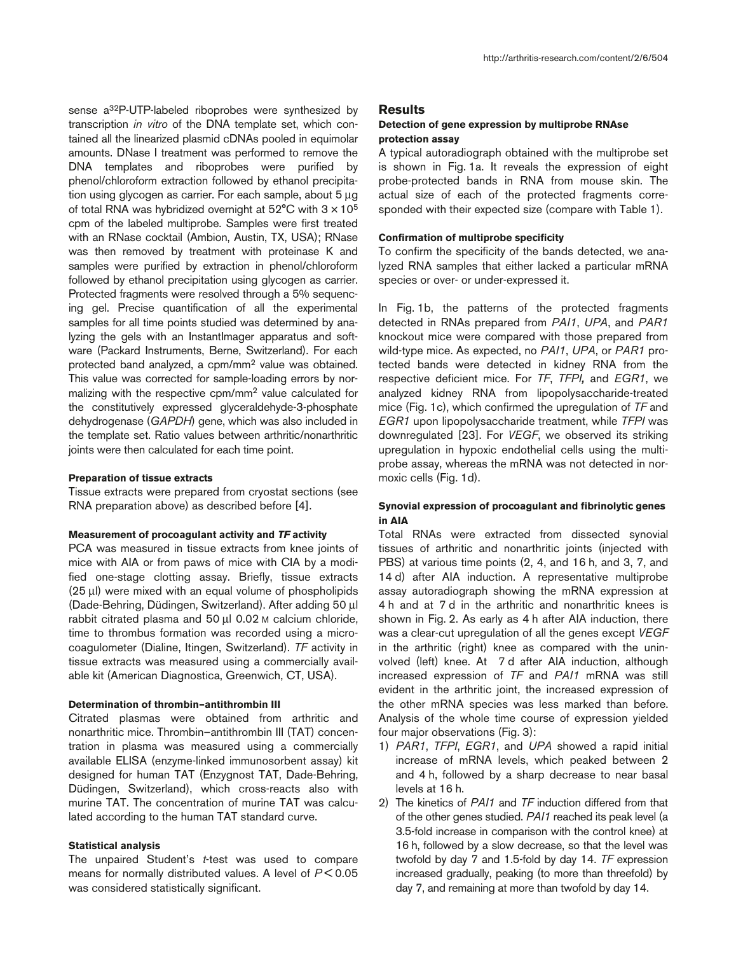sense a32P-UTP-labeled riboprobes were synthesized by transcription *in vitro* of the DNA template set, which contained all the linearized plasmid cDNAs pooled in equimolar amounts. DNase I treatment was performed to remove the DNA templates and riboprobes were purified by phenol/chloroform extraction followed by ethanol precipitation using glycogen as carrier. For each sample, about 5 µg of total RNA was hybridized overnight at 52°C with  $3 \times 10^5$ cpm of the labeled multiprobe. Samples were first treated with an RNase cocktail (Ambion, Austin, TX, USA); RNase was then removed by treatment with proteinase K and samples were purified by extraction in phenol/chloroform followed by ethanol precipitation using glycogen as carrier. Protected fragments were resolved through a 5% sequencing gel. Precise quantification of all the experimental samples for all time points studied was determined by analyzing the gels with an InstantImager apparatus and software (Packard Instruments, Berne, Switzerland). For each protected band analyzed, a cpm/mm2 value was obtained. This value was corrected for sample-loading errors by normalizing with the respective cpm/mm2 value calculated for the constitutively expressed glyceraldehyde-3-phosphate dehydrogenase (*GAPDH*) gene, which was also included in the template set. Ratio values between arthritic/nonarthritic joints were then calculated for each time point.

## **Preparation of tissue extracts**

Tissue extracts were prepared from cryostat sections (see RNA preparation above) as described before [4].

#### **Measurement of procoagulant activity and TF activity**

PCA was measured in tissue extracts from knee joints of mice with AIA or from paws of mice with CIA by a modified one-stage clotting assay. Briefly, tissue extracts (25 µl) were mixed with an equal volume of phospholipids (Dade-Behring, Düdingen, Switzerland). After adding 50 µl rabbit citrated plasma and 50 µl 0.02 M calcium chloride, time to thrombus formation was recorded using a microcoagulometer (Dialine, Itingen, Switzerland). *TF* activity in tissue extracts was measured using a commercially available kit (American Diagnostica, Greenwich, CT, USA).

## **Determination of thrombin–antithrombin III**

Citrated plasmas were obtained from arthritic and nonarthritic mice. Thrombin–antithrombin III (TAT) concentration in plasma was measured using a commercially available ELISA (enzyme-linked immunosorbent assay) kit designed for human TAT (Enzygnost TAT, Dade-Behring, Düdingen, Switzerland), which cross-reacts also with murine TAT. The concentration of murine TAT was calculated according to the human TAT standard curve.

# **Statistical analysis**

The unpaired Student's *t*-test was used to compare means for normally distributed values. A level of *P* < 0.05 was considered statistically significant.

## **Results**

## **Detection of gene expression by multiprobe RNAse protection assay**

A typical autoradiograph obtained with the multiprobe set is shown in Fig. 1a. It reveals the expression of eight probe-protected bands in RNA from mouse skin. The actual size of each of the protected fragments corresponded with their expected size (compare with Table 1).

#### **Confirmation of multiprobe specificity**

To confirm the specificity of the bands detected, we analyzed RNA samples that either lacked a particular mRNA species or over- or under-expressed it.

In Fig. 1b, the patterns of the protected fragments detected in RNAs prepared from *PAI1*, *UPA*, and *PAR1* knockout mice were compared with those prepared from wild-type mice. As expected, no *PAI1*, *UPA*, or *PAR1* protected bands were detected in kidney RNA from the respective deficient mice. For *TF*, *TFPI,* and *EGR1*, we analyzed kidney RNA from lipopolysaccharide-treated mice (Fig. 1c), which confirmed the upregulation of *TF* and *EGR1* upon lipopolysaccharide treatment, while *TFPI* was downregulated [23]. For *VEGF*, we observed its striking upregulation in hypoxic endothelial cells using the multiprobe assay, whereas the mRNA was not detected in normoxic cells (Fig. 1d).

# **Synovial expression of procoagulant and fibrinolytic genes in AIA**

Total RNAs were extracted from dissected synovial tissues of arthritic and nonarthritic joints (injected with PBS) at various time points (2, 4, and 16 h, and 3, 7, and 14 d) after AIA induction. A representative multiprobe assay autoradiograph showing the mRNA expression at 4 h and at 7 d in the arthritic and nonarthritic knees is shown in Fig. 2. As early as 4 h after AIA induction, there was a clear-cut upregulation of all the genes except *VEGF* in the arthritic (right) knee as compared with the uninvolved (left) knee. At 7 d after AIA induction, although increased expression of *TF* and *PAI1* mRNA was still evident in the arthritic joint, the increased expression of the other mRNA species was less marked than before. Analysis of the whole time course of expression yielded four major observations (Fig. 3):

- 1) *PAR1*, *TFPI*, *EGR1*, and *UPA* showed a rapid initial increase of mRNA levels, which peaked between 2 and 4 h, followed by a sharp decrease to near basal levels at 16 h.
- 2) The kinetics of *PAI1* and *TF* induction differed from that of the other genes studied. *PAI1* reached its peak level (a 3.5-fold increase in comparison with the control knee) at 16 h, followed by a slow decrease, so that the level was twofold by day 7 and 1.5-fold by day 14. *TF* expression increased gradually, peaking (to more than threefold) by day 7, and remaining at more than twofold by day 14.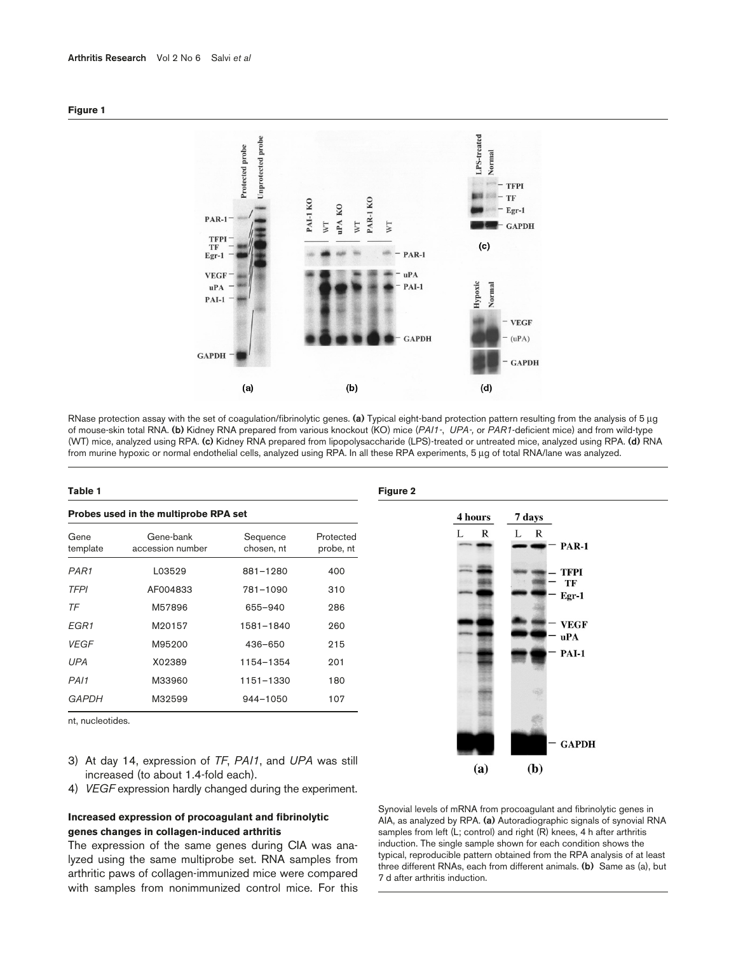



RNase protection assay with the set of coagulation/fibrinolytic genes. **(a)** Typical eight-band protection pattern resulting from the analysis of 5 µg of mouse-skin total RNA. **(b)** Kidney RNA prepared from various knockout (KO) mice (*PAI1-*, *UPA-,* or *PAR1*-deficient mice) and from wild-type (WT) mice, analyzed using RPA. **(c)** Kidney RNA prepared from lipopolysaccharide (LPS)-treated or untreated mice, analyzed using RPA. **(d)** RNA from murine hypoxic or normal endothelial cells, analyzed using RPA. In all these RPA experiments, 5 µg of total RNA/lane was analyzed.

#### **Table 1**

| Probes used in the multiprobe RPA set |                               |                        |                        |
|---------------------------------------|-------------------------------|------------------------|------------------------|
| Gene<br>template                      | Gene-bank<br>accession number | Sequence<br>chosen, nt | Protected<br>probe, nt |
| PAR <sub>1</sub>                      | L03529                        | 881-1280               | 400                    |
| TFPI                                  | AF004833                      | 781-1090               | 310                    |
| TF                                    | M57896                        | 655-940                | 286                    |
| EGR1                                  | M20157                        | 1581-1840              | 260                    |
| VFGF                                  | M95200                        | 436-650                | 215                    |
| UPA                                   | X02389                        | 1154-1354              | 201                    |
| PA <sub>11</sub>                      | M33960                        | 1151-1330              | 180                    |
| <i>GAPDH</i>                          | M32599                        | $944 - 1050$           | 107                    |

nt, nucleotides.

- 3) At day 14, expression of *TF*, *PAI1*, and *UPA* was still increased (to about 1.4-fold each).
- 4) *VEGF* expression hardly changed during the experiment.

# **Increased expression of procoagulant and fibrinolytic genes changes in collagen-induced arthritis**

The expression of the same genes during CIA was analyzed using the same multiprobe set. RNA samples from arthritic paws of collagen-immunized mice were compared with samples from nonimmunized control mice. For this



Synovial levels of mRNA from procoagulant and fibrinolytic genes in AIA, as analyzed by RPA. **(a)** Autoradiographic signals of synovial RNA samples from left (L; control) and right (R) knees, 4 h after arthritis induction. The single sample shown for each condition shows the typical, reproducible pattern obtained from the RPA analysis of at least three different RNAs, each from different animals. **(b)** Same as (a), but 7 d after arthritis induction.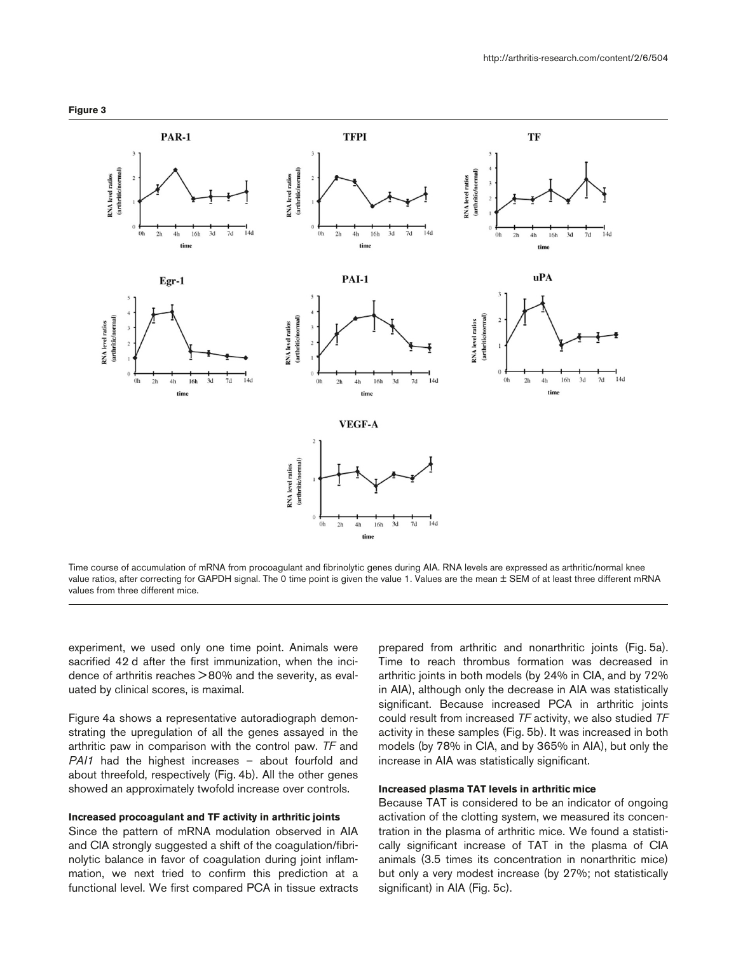



Time course of accumulation of mRNA from procoagulant and fibrinolytic genes during AIA. RNA levels are expressed as arthritic/normal knee value ratios, after correcting for GAPDH signal. The 0 time point is given the value 1. Values are the mean  $\pm$  SEM of at least three different mRNA values from three different mice.

experiment, we used only one time point. Animals were sacrified 42 d after the first immunization, when the incidence of arthritis reaches > 80% and the severity, as evaluated by clinical scores, is maximal.

Figure 4a shows a representative autoradiograph demonstrating the upregulation of all the genes assayed in the arthritic paw in comparison with the control paw. *TF* and *PAI1* had the highest increases – about fourfold and about threefold, respectively (Fig. 4b). All the other genes showed an approximately twofold increase over controls.

### **Increased procoagulant and TF activity in arthritic joints**

Since the pattern of mRNA modulation observed in AIA and CIA strongly suggested a shift of the coagulation/fibrinolytic balance in favor of coagulation during joint inflammation, we next tried to confirm this prediction at a functional level. We first compared PCA in tissue extracts prepared from arthritic and nonarthritic joints (Fig. 5a). Time to reach thrombus formation was decreased in arthritic joints in both models (by 24% in CIA, and by 72% in AIA), although only the decrease in AIA was statistically significant. Because increased PCA in arthritic joints could result from increased *TF* activity, we also studied *TF* activity in these samples (Fig. 5b). It was increased in both models (by 78% in CIA, and by 365% in AIA), but only the increase in AIA was statistically significant.

# **Increased plasma TAT levels in arthritic mice**

Because TAT is considered to be an indicator of ongoing activation of the clotting system, we measured its concentration in the plasma of arthritic mice. We found a statistically significant increase of TAT in the plasma of CIA animals (3.5 times its concentration in nonarthritic mice) but only a very modest increase (by 27%; not statistically significant) in AIA (Fig. 5c).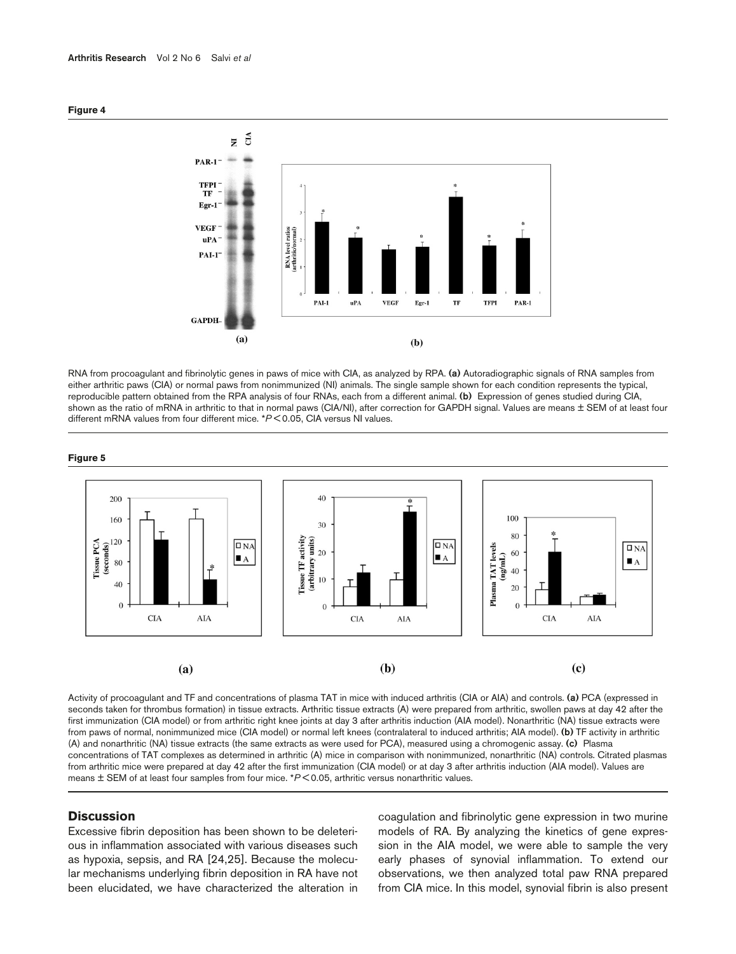



RNA from procoagulant and fibrinolytic genes in paws of mice with CIA, as analyzed by RPA. **(a)** Autoradiographic signals of RNA samples from either arthritic paws (CIA) or normal paws from nonimmunized (NI) animals. The single sample shown for each condition represents the typical, reproducible pattern obtained from the RPA analysis of four RNAs, each from a different animal. **(b)** Expression of genes studied during CIA, shown as the ratio of mRNA in arthritic to that in normal paws (CIA/NI), after correction for GAPDH signal. Values are means  $\pm$  SEM of at least four different mRNA values from four different mice. \**P <* 0.05, CIA versus NI values.

#### **Figure 5**



Activity of procoagulant and TF and concentrations of plasma TAT in mice with induced arthritis (CIA or AIA) and controls. **(a)** PCA (expressed in seconds taken for thrombus formation) in tissue extracts. Arthritic tissue extracts (A) were prepared from arthritic, swollen paws at day 42 after the first immunization (CIA model) or from arthritic right knee joints at day 3 after arthritis induction (AIA model). Nonarthritic (NA) tissue extracts were from paws of normal, nonimmunized mice (CIA model) or normal left knees (contralateral to induced arthritis; AIA model). **(b)** TF activity in arthritic (A) and nonarthritic (NA) tissue extracts (the same extracts as were used for PCA), measured using a chromogenic assay. **(c)** Plasma concentrations of TAT complexes as determined in arthritic (A) mice in comparison with nonimmunized, nonarthritic (NA) controls. Citrated plasmas from arthritic mice were prepared at day 42 after the first immunization (CIA model) or at day 3 after arthritis induction (AIA model). Values are means ± SEM of at least four samples from four mice. \**P <* 0.05, arthritic versus nonarthritic values.

### **Discussion**

Excessive fibrin deposition has been shown to be deleterious in inflammation associated with various diseases such as hypoxia, sepsis, and RA [24,25]. Because the molecular mechanisms underlying fibrin deposition in RA have not been elucidated, we have characterized the alteration in

coagulation and fibrinolytic gene expression in two murine models of RA. By analyzing the kinetics of gene expression in the AIA model, we were able to sample the very early phases of synovial inflammation. To extend our observations, we then analyzed total paw RNA prepared from CIA mice. In this model, synovial fibrin is also present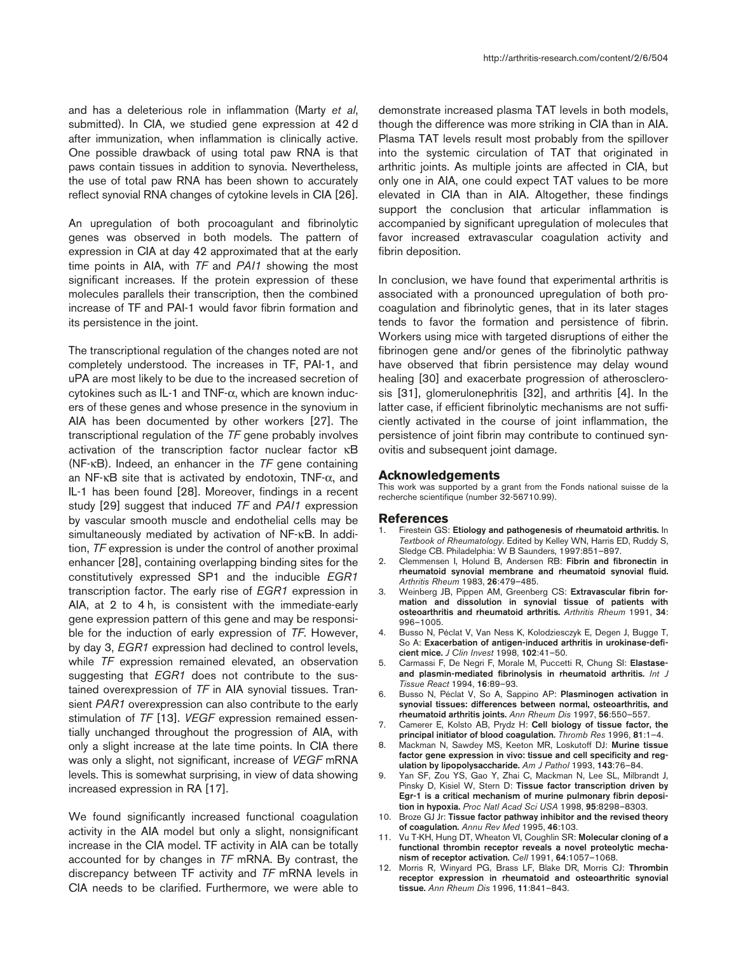and has a deleterious role in inflammation (Marty *et al*, submitted). In CIA, we studied gene expression at 42 d after immunization, when inflammation is clinically active. One possible drawback of using total paw RNA is that paws contain tissues in addition to synovia. Nevertheless, the use of total paw RNA has been shown to accurately reflect synovial RNA changes of cytokine levels in CIA [26].

An upregulation of both procoagulant and fibrinolytic genes was observed in both models. The pattern of expression in CIA at day 42 approximated that at the early time points in AIA, with *TF* and *PAI1* showing the most significant increases. If the protein expression of these molecules parallels their transcription, then the combined increase of TF and PAI-1 would favor fibrin formation and its persistence in the joint.

The transcriptional regulation of the changes noted are not completely understood. The increases in TF, PAI-1, and uPA are most likely to be due to the increased secretion of cytokines such as IL-1 and TNF-α, which are known inducers of these genes and whose presence in the synovium in AIA has been documented by other workers [27]. The transcriptional regulation of the *TF* gene probably involves activation of the transcription factor nuclear factor κB (NF-κB). Indeed, an enhancer in the *TF* gene containing an NF-κB site that is activated by endotoxin, TNF-α, and IL-1 has been found [28]. Moreover, findings in a recent study [29] suggest that induced *TF* and *PAI1* expression by vascular smooth muscle and endothelial cells may be simultaneously mediated by activation of NF-κB. In addition, *TF* expression is under the control of another proximal enhancer [28], containing overlapping binding sites for the constitutively expressed SP1 and the inducible *EGR1* transcription factor. The early rise of *EGR1* expression in AIA, at 2 to 4 h, is consistent with the immediate-early gene expression pattern of this gene and may be responsible for the induction of early expression of *TF*. However, by day 3, *EGR1* expression had declined to control levels, while *TF* expression remained elevated, an observation suggesting that *EGR1* does not contribute to the sustained overexpression of *TF* in AIA synovial tissues. Transient *PAR1* overexpression can also contribute to the early stimulation of *TF* [13]. *VEGF* expression remained essentially unchanged throughout the progression of AIA, with only a slight increase at the late time points. In CIA there was only a slight, not significant, increase of *VEGF* mRNA levels. This is somewhat surprising, in view of data showing increased expression in RA [17].

We found significantly increased functional coagulation activity in the AIA model but only a slight, nonsignificant increase in the CIA model. TF activity in AIA can be totally accounted for by changes in *TF* mRNA. By contrast, the discrepancy between TF activity and *TF* mRNA levels in CIA needs to be clarified. Furthermore, we were able to

demonstrate increased plasma TAT levels in both models, though the difference was more striking in CIA than in AIA. Plasma TAT levels result most probably from the spillover into the systemic circulation of TAT that originated in arthritic joints. As multiple joints are affected in CIA, but only one in AIA, one could expect TAT values to be more elevated in CIA than in AIA. Altogether, these findings support the conclusion that articular inflammation is accompanied by significant upregulation of molecules that favor increased extravascular coagulation activity and fibrin deposition.

In conclusion, we have found that experimental arthritis is associated with a pronounced upregulation of both procoagulation and fibrinolytic genes, that in its later stages tends to favor the formation and persistence of fibrin. Workers using mice with targeted disruptions of either the fibrinogen gene and/or genes of the fibrinolytic pathway have observed that fibrin persistence may delay wound healing [30] and exacerbate progression of atherosclerosis [31], glomerulonephritis [32], and arthritis [4]. In the latter case, if efficient fibrinolytic mechanisms are not sufficiently activated in the course of joint inflammation, the persistence of joint fibrin may contribute to continued synovitis and subsequent joint damage.

#### **Acknowledgements**

This work was supported by a grant from the Fonds national suisse de la recherche scientifique (number 32-56710.99).

#### **References**

- 1. Firestein GS: **Etiology and pathogenesis of rheumatoid arthritis.** In *Textbook of Rheumatology*. Edited by Kelley WN, Harris ED, Ruddy S, Sledge CB. Philadelphia: W B Saunders, 1997:851–897.
- 2. Clemmensen I, Holund B, Andersen RB: **Fibrin and fibronectin in rheumatoid synovial membrane and rheumatoid synovial fluid.** *Arthritis Rheum* 1983, **26**:479–485.
- 3. Weinberg JB, Pippen AM, Greenberg CS: **Extravascular fibrin formation and dissolution in synovial tissue of patients with osteoarthritis and rheumatoid arthritis.** *Arthritis Rheum* 1991, **34**: 996–1005.
- 4. Busso N, Péclat V, Van Ness K, Kolodziesczyk E, Degen J, Bugge T, So A: Exacerbation of antigen-induced arthritis in urokinase-defi**cient mice.** *J Clin Invest* 1998, **102**:41–50.
- 5. Carmassi F, De Negri F, Morale M, Puccetti R, Chung SI: **Elastaseand plasmin-mediated fibrinolysis in rheumatoid arthritis.** *Int J Tissue React* 1994, **16**:89–93.
- 6. Busso N, Péclat V, So A, Sappino AP: **Plasminogen activation in synovial tissues: differences between normal, osteoarthritis, and rheumatoid arthritis joints.** *Ann Rheum Dis* 1997, **56**:550–557.
- 7. Camerer E, Kolsto AB, Prydz H: **Cell biology of tissue factor, the principal initiator of blood coagulation.** *Thromb Res* 1996, **81**:1–4.
- 8. Mackman N, Sawdey MS, Keeton MR, Loskutoff DJ: **Murine tissue factor gene expression in vivo: tissue and cell specificity and regulation by lipopolysaccharide.** *Am J Pathol* 1993, **143**:76–84.
- 9. Yan SF, Zou YS, Gao Y, Zhai C, Mackman N, Lee SL, Milbrandt J, Pinsky D, Kisiel W, Stern D: **Tissue factor transcription driven by Egr-1 is a critical mechanism of murine pulmonary fibrin deposition in hypoxia.** *Proc Natl Acad Sci USA* 1998, **95**:8298–8303.
- 10. Broze GJ Jr: **Tissue factor pathway inhibitor and the revised theory of coagulation.** *Annu Rev Med* 1995, **46**:103.
- 11. Vu T-KH, Hung DT, Wheaton VI, Coughlin SR: **Molecular cloning of a functional thrombin receptor reveals a novel proteolytic mechanism of receptor activation.** *Cell* 1991, **64**:1057–1068.
- 12. Morris R, Winyard PG, Brass LF, Blake DR, Morris CJ: **Thrombin receptor expression in rheumatoid and osteoarthritic synovial tissue.** *Ann Rheum Dis* 1996, **11**:841–843.